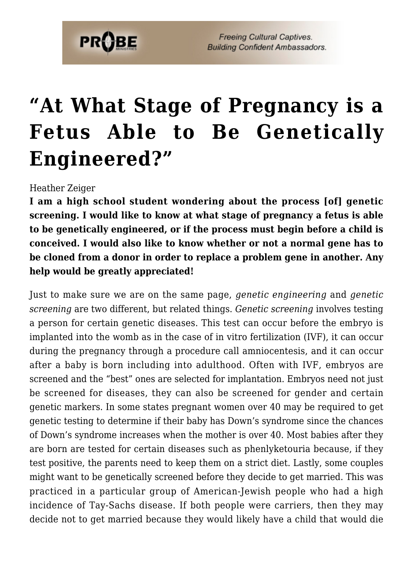

**Freeing Cultural Captives. Building Confident Ambassadors.** 

## **["At What Stage of Pregnancy is a](https://probe.org/at-what-stage-of-pregnancy-is-a-fetus-able-to-be-genetically-engineered/) [Fetus Able to Be Genetically](https://probe.org/at-what-stage-of-pregnancy-is-a-fetus-able-to-be-genetically-engineered/) [Engineered?"](https://probe.org/at-what-stage-of-pregnancy-is-a-fetus-able-to-be-genetically-engineered/)**

Heather Zeiger

**I am a high school student wondering about the process [of] genetic screening. I would like to know at what stage of pregnancy a fetus is able to be genetically engineered, or if the process must begin before a child is conceived. I would also like to know whether or not a normal gene has to be cloned from a donor in order to replace a problem gene in another. Any help would be greatly appreciated!**

Just to make sure we are on the same page, *genetic engineering* and *genetic screening* are two different, but related things. *Genetic screening* involves testing a person for certain genetic diseases. This test can occur before the embryo is implanted into the womb as in the case of in vitro fertilization (IVF), it can occur during the pregnancy through a procedure call amniocentesis, and it can occur after a baby is born including into adulthood. Often with IVF, embryos are screened and the "best" ones are selected for implantation. Embryos need not just be screened for diseases, they can also be screened for gender and certain genetic markers. In some states pregnant women over 40 may be required to get genetic testing to determine if their baby has Down's syndrome since the chances of Down's syndrome increases when the mother is over 40. Most babies after they are born are tested for certain diseases such as phenlyketouria because, if they test positive, the parents need to keep them on a strict diet. Lastly, some couples might want to be genetically screened before they decide to get married. This was practiced in a particular group of American-Jewish people who had a high incidence of Tay-Sachs disease. If both people were carriers, then they may decide not to get married because they would likely have a child that would die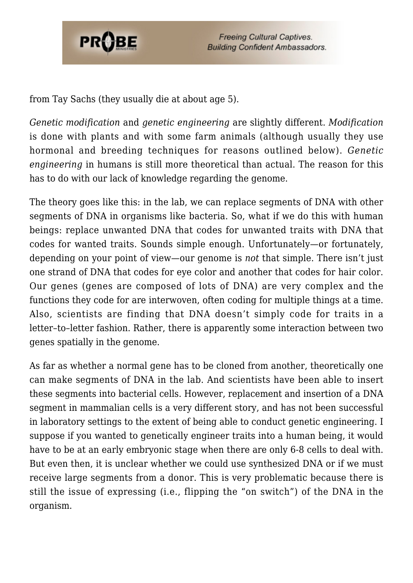

from Tay Sachs (they usually die at about age 5).

*Genetic modification* and *genetic engineering* are slightly different. *Modification* is done with plants and with some farm animals (although usually they use hormonal and breeding techniques for reasons outlined below). *Genetic engineering* in humans is still more theoretical than actual. The reason for this has to do with our lack of knowledge regarding the genome.

The theory goes like this: in the lab, we can replace segments of DNA with other segments of DNA in organisms like bacteria. So, what if we do this with human beings: replace unwanted DNA that codes for unwanted traits with DNA that codes for wanted traits. Sounds simple enough. Unfortunately—or fortunately, depending on your point of view—our genome is *not* that simple. There isn't just one strand of DNA that codes for eye color and another that codes for hair color. Our genes (genes are composed of lots of DNA) are very complex and the functions they code for are interwoven, often coding for multiple things at a time. Also, scientists are finding that DNA doesn't simply code for traits in a letter–to–letter fashion. Rather, there is apparently some interaction between two genes spatially in the genome.

As far as whether a normal gene has to be cloned from another, theoretically one can make segments of DNA in the lab. And scientists have been able to insert these segments into bacterial cells. However, replacement and insertion of a DNA segment in mammalian cells is a very different story, and has not been successful in laboratory settings to the extent of being able to conduct genetic engineering. I suppose if you wanted to genetically engineer traits into a human being, it would have to be at an early embryonic stage when there are only 6-8 cells to deal with. But even then, it is unclear whether we could use synthesized DNA or if we must receive large segments from a donor. This is very problematic because there is still the issue of expressing (i.e., flipping the "on switch") of the DNA in the organism.